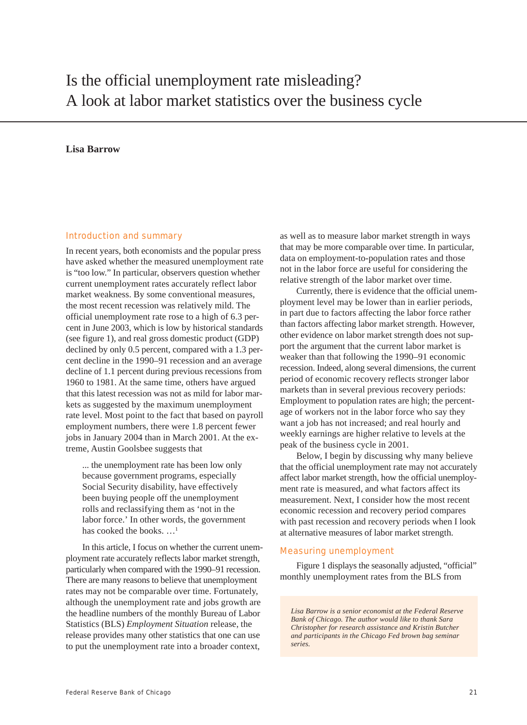# Is the official unemployment rate misleading? A look at labor market statistics over the business cycle

## **Lisa Barrow**

### Introduction and summary

In recent years, both economists and the popular press have asked whether the measured unemployment rate is "too low." In particular, observers question whether current unemployment rates accurately reflect labor market weakness. By some conventional measures, the most recent recession was relatively mild. The official unemployment rate rose to a high of 6.3 percent in June 2003, which is low by historical standards (see figure 1), and real gross domestic product (GDP) declined by only 0.5 percent, compared with a 1.3 percent decline in the 1990–91 recession and an average decline of 1.1 percent during previous recessions from 1960 to 1981. At the same time, others have argued that this latest recession was not as mild for labor markets as suggested by the maximum unemployment rate level. Most point to the fact that based on payroll employment numbers, there were 1.8 percent fewer jobs in January 2004 than in March 2001. At the extreme, Austin Goolsbee suggests that

... the unemployment rate has been low only because government programs, especially Social Security disability, have effectively been buying people off the unemployment rolls and reclassifying them as 'not in the labor force.' In other words, the government has cooked the books. ...<sup>1</sup>

In this article, I focus on whether the current unemployment rate accurately reflects labor market strength, particularly when compared with the 1990–91 recession. There are many reasons to believe that unemployment rates may not be comparable over time. Fortunately, although the unemployment rate and jobs growth are the headline numbers of the monthly Bureau of Labor Statistics (BLS) *Employment Situation* release, the release provides many other statistics that one can use to put the unemployment rate into a broader context,

as well as to measure labor market strength in ways that may be more comparable over time. In particular, data on employment-to-population rates and those not in the labor force are useful for considering the relative strength of the labor market over time.

Currently, there is evidence that the official unemployment level may be lower than in earlier periods, in part due to factors affecting the labor force rather than factors affecting labor market strength. However, other evidence on labor market strength does not support the argument that the current labor market is weaker than that following the 1990–91 economic recession. Indeed, along several dimensions, the current period of economic recovery reflects stronger labor markets than in several previous recovery periods: Employment to population rates are high; the percentage of workers not in the labor force who say they want a job has not increased; and real hourly and weekly earnings are higher relative to levels at the peak of the business cycle in 2001.

Below, I begin by discussing why many believe that the official unemployment rate may not accurately affect labor market strength, how the official unemployment rate is measured, and what factors affect its measurement. Next, I consider how the most recent economic recession and recovery period compares with past recession and recovery periods when I look at alternative measures of labor market strength.

#### Measuring unemployment

Figure 1 displays the seasonally adjusted, "official" monthly unemployment rates from the BLS from

*Lisa Barrow is a senior economist at the Federal Reserve Bank of Chicago. The author would like to thank Sara Christopher for research assistance and Kristin Butcher and participants in the Chicago Fed brown bag seminar series.*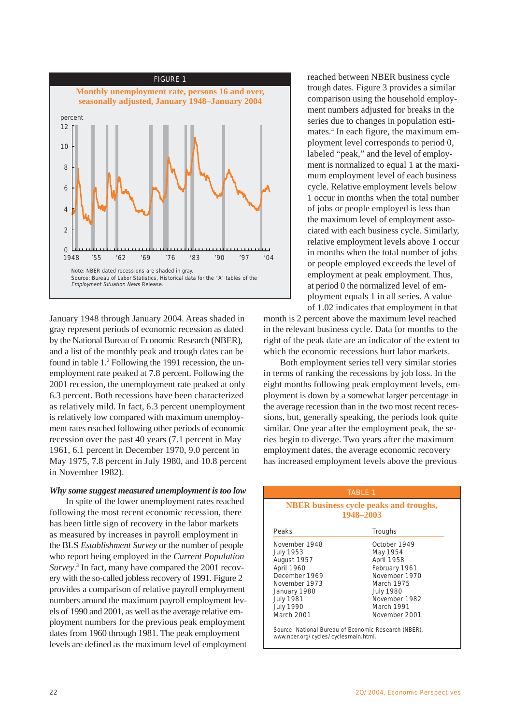

January 1948 through January 2004. Areas shaded in gray represent periods of economic recession as dated by the National Bureau of Economic Research (NBER), and a list of the monthly peak and trough dates can be found in table 1.<sup>2</sup> Following the 1991 recession, the unemployment rate peaked at 7.8 percent. Following the 2001 recession, the unemployment rate peaked at only 6.3 percent. Both recessions have been characterized as relatively mild. In fact, 6.3 percent unemployment is relatively low compared with maximum unemployment rates reached following other periods of economic recession over the past 40 years (7.1 percent in May 1961, 6.1 percent in December 1970, 9.0 percent in May 1975, 7.8 percent in July 1980, and 10.8 percent in November 1982).

#### *Why some suggest measured unemployment is too low*

In spite of the lower unemployment rates reached following the most recent economic recession, there has been little sign of recovery in the labor markets as measured by increases in payroll employment in the BLS *Establishment Survey* or the number of people who report being employed in the *Current Population Survey*. 3 In fact, many have compared the 2001 recovery with the so-called jobless recovery of 1991. Figure 2 provides a comparison of relative payroll employment numbers around the maximum payroll employment levels of 1990 and 2001, as well as the average relative employment numbers for the previous peak employment dates from 1960 through 1981. The peak employment levels are defined as the maximum level of employment

reached between NBER business cycle trough dates. Figure 3 provides a similar comparison using the household employment numbers adjusted for breaks in the series due to changes in population estimates.4 In each figure, the maximum employment level corresponds to period 0, labeled "peak," and the level of employment is normalized to equal 1 at the maximum employment level of each business cycle. Relative employment levels below 1 occur in months when the total number of jobs or people employed is less than the maximum level of employment associated with each business cycle. Similarly, relative employment levels above 1 occur in months when the total number of jobs or people employed exceeds the level of employment at peak employment. Thus, at period 0 the normalized level of employment equals 1 in all series. A value of 1.02 indicates that employment in that

month is 2 percent above the maximum level reached in the relevant business cycle. Data for months to the right of the peak date are an indicator of the extent to which the economic recessions hurt labor markets.

Both employment series tell very similar stories in terms of ranking the recessions by job loss. In the eight months following peak employment levels, employment is down by a somewhat larger percentage in the average recession than in the two most recent recessions, but, generally speaking, the periods look quite similar. One year after the employment peak, the series begin to diverge. Two years after the maximum employment dates, the average economic recovery has increased employment levels above the previous

|                                                                                                                                                                        | <b>TABLE 1</b>                                                                                                                                             |  |  |  |  |  |
|------------------------------------------------------------------------------------------------------------------------------------------------------------------------|------------------------------------------------------------------------------------------------------------------------------------------------------------|--|--|--|--|--|
| <b>NBER</b> business cycle peaks and troughs,<br>1948-2003                                                                                                             |                                                                                                                                                            |  |  |  |  |  |
| Peaks                                                                                                                                                                  | <b>Troughs</b>                                                                                                                                             |  |  |  |  |  |
| November 1948<br><b>July 1953</b><br>August 1957<br>April 1960<br>December 1969<br>November 1973<br>January 1980<br><b>July 1981</b><br><b>July 1990</b><br>March 2001 | October 1949<br>May 1954<br>April 1958<br>February 1961<br>November 1970<br>March 1975<br><b>July 1980</b><br>November 1982<br>March 1991<br>November 2001 |  |  |  |  |  |
| Source: National Bureau of Economic Research (NBER),<br>www.nber.org/cycles/cyclesmain.html.                                                                           |                                                                                                                                                            |  |  |  |  |  |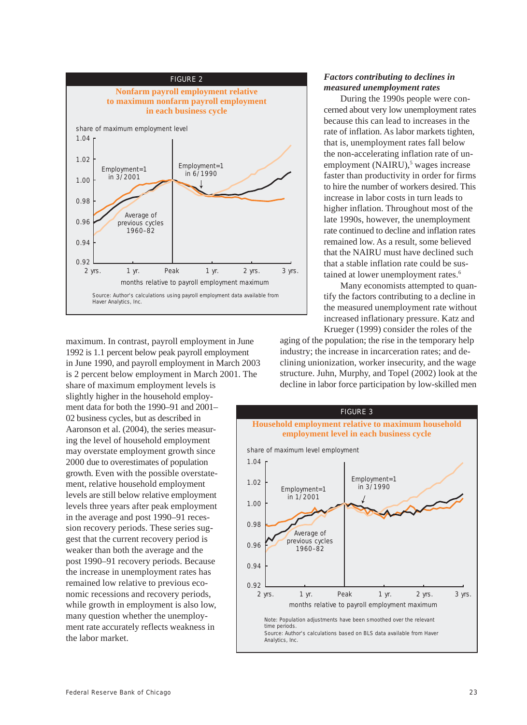

maximum. In contrast, payroll employment in June 1992 is 1.1 percent below peak payroll employment in June 1990, and payroll employment in March 2003 is 2 percent below employment in March 2001. The

share of maximum employment levels is slightly higher in the household employment data for both the 1990–91 and 2001– 02 business cycles, but as described in Aaronson et al. (2004), the series measuring the level of household employment may overstate employment growth since 2000 due to overestimates of population growth. Even with the possible overstatement, relative household employment levels are still below relative employment levels three years after peak employment in the average and post 1990–91 recession recovery periods. These series suggest that the current recovery period is weaker than both the average and the post 1990–91 recovery periods. Because the increase in unemployment rates has remained low relative to previous economic recessions and recovery periods, while growth in employment is also low, many question whether the unemployment rate accurately reflects weakness in the labor market.

# *Factors contributing to declines in measured unemployment rates*

During the 1990s people were concerned about very low unemployment rates because this can lead to increases in the rate of inflation. As labor markets tighten, that is, unemployment rates fall below the non-accelerating inflation rate of unemployment (NAIRU),<sup>5</sup> wages increase faster than productivity in order for firms to hire the number of workers desired. This increase in labor costs in turn leads to higher inflation. Throughout most of the late 1990s, however, the unemployment rate continued to decline and inflation rates remained low. As a result, some believed that the NAIRU must have declined such that a stable inflation rate could be sustained at lower unemployment rates.<sup>6</sup>

Many economists attempted to quantify the factors contributing to a decline in the measured unemployment rate without increased inflationary pressure. Katz and Krueger (1999) consider the roles of the

aging of the population; the rise in the temporary help industry; the increase in incarceration rates; and declining unionization, worker insecurity, and the wage structure. Juhn, Murphy, and Topel (2002) look at the decline in labor force participation by low-skilled men

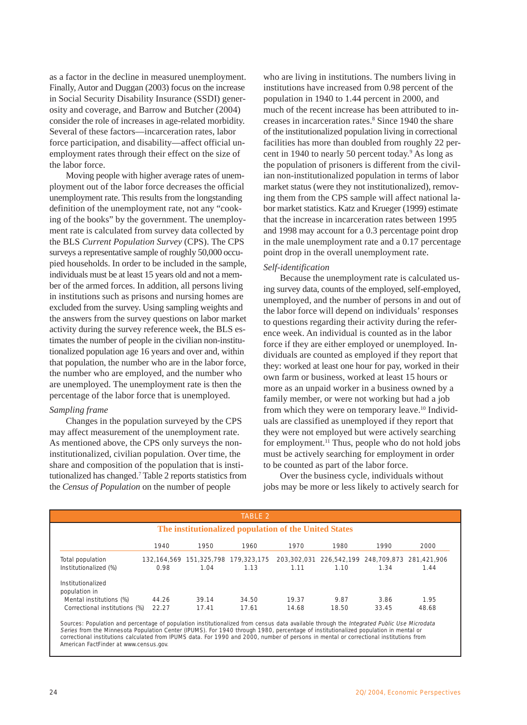as a factor in the decline in measured unemployment. Finally, Autor and Duggan (2003) focus on the increase in Social Security Disability Insurance (SSDI) generosity and coverage, and Barrow and Butcher (2004) consider the role of increases in age-related morbidity. Several of these factors—incarceration rates, labor force participation, and disability—affect official unemployment rates through their effect on the size of the labor force.

Moving people with higher average rates of unemployment out of the labor force decreases the official unemployment rate. This results from the longstanding definition of the unemployment rate, not any "cooking of the books" by the government. The unemployment rate is calculated from survey data collected by the BLS *Current Population Survey* (CPS). The CPS surveys a representative sample of roughly 50,000 occupied households. In order to be included in the sample, individuals must be at least 15 years old and not a member of the armed forces. In addition, all persons living in institutions such as prisons and nursing homes are excluded from the survey. Using sampling weights and the answers from the survey questions on labor market activity during the survey reference week, the BLS estimates the number of people in the civilian non-institutionalized population age 16 years and over and, within that population, the number who are in the labor force, the number who are employed, and the number who are unemployed. The unemployment rate is then the percentage of the labor force that is unemployed.

#### *Sampling frame*

Changes in the population surveyed by the CPS may affect measurement of the unemployment rate. As mentioned above, the CPS only surveys the noninstitutionalized, civilian population. Over time, the share and composition of the population that is institutionalized has changed.7 Table 2 reports statistics from the *Census of Population* on the number of people

who are living in institutions. The numbers living in institutions have increased from 0.98 percent of the population in 1940 to 1.44 percent in 2000, and much of the recent increase has been attributed to increases in incarceration rates.<sup>8</sup> Since 1940 the share of the institutionalized population living in correctional facilities has more than doubled from roughly 22 percent in 1940 to nearly 50 percent today.<sup>9</sup> As long as the population of prisoners is different from the civilian non-institutionalized population in terms of labor market status (were they not institutionalized), removing them from the CPS sample will affect national labor market statistics. Katz and Krueger (1999) estimate that the increase in incarceration rates between 1995 and 1998 may account for a 0.3 percentage point drop in the male unemployment rate and a 0.17 percentage point drop in the overall unemployment rate.

## *Self-identification*

Because the unemployment rate is calculated using survey data, counts of the employed, self-employed, unemployed, and the number of persons in and out of the labor force will depend on individuals' responses to questions regarding their activity during the reference week. An individual is counted as in the labor force if they are either employed or unemployed. Individuals are counted as employed if they report that they: worked at least one hour for pay, worked in their own farm or business, worked at least 15 hours or more as an unpaid worker in a business owned by a family member, or were not working but had a job from which they were on temporary leave.<sup>10</sup> Individuals are classified as unemployed if they report that they were not employed but were actively searching for employment.<sup>11</sup> Thus, people who do not hold jobs must be actively searching for employment in order to be counted as part of the labor force.

Over the business cycle, individuals without jobs may be more or less likely to actively search for

| <b>TABLE 2</b>                                        |       |                                     |       |       |                                                 |       |       |  |  |
|-------------------------------------------------------|-------|-------------------------------------|-------|-------|-------------------------------------------------|-------|-------|--|--|
| The institutionalized population of the United States |       |                                     |       |       |                                                 |       |       |  |  |
|                                                       | 1940  | 1950                                | 1960  | 1970  | 1980                                            | 1990  | 2000  |  |  |
| Total population                                      |       | 132.164.569 151.325.798 179.323.175 |       |       | 203.302.031 226.542.199 248.709.873 281.421.906 |       |       |  |  |
| Institutionalized (%)                                 | 0.98  | 1.04                                | 1.13  | 1.11  | 1.10                                            | 1.34  | 1.44  |  |  |
| Institutionalized<br>population in                    |       |                                     |       |       |                                                 |       |       |  |  |
| Mental institutions (%)                               | 44.26 | 39.14                               | 34.50 | 19.37 | 9.87                                            | 3.86  | 1.95  |  |  |
| Correctional institutions (%)                         | 22.27 | 17.41                               | 17.61 | 14.68 | 18.50                                           | 33.45 | 48.68 |  |  |

Sources: Population and percentage of population institutionalized from census data available through the *Integrated Public Use Microdata*<br>*Series* from the Minnesota Population Center (IPUMS). For 1940 through 1980, perc correctional institutions calculated from IPUMS data. For 1990 and 2000, number of persons in mental or correctional institutions from American FactFinder at www.census.gov.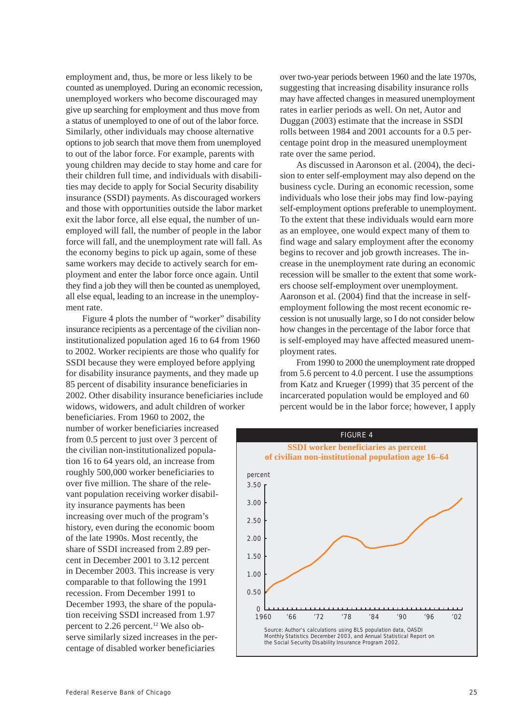employment and, thus, be more or less likely to be counted as unemployed. During an economic recession, unemployed workers who become discouraged may give up searching for employment and thus move from a status of unemployed to one of out of the labor force. Similarly, other individuals may choose alternative options to job search that move them from unemployed to out of the labor force. For example, parents with young children may decide to stay home and care for their children full time, and individuals with disabilities may decide to apply for Social Security disability insurance (SSDI) payments. As discouraged workers and those with opportunities outside the labor market exit the labor force, all else equal, the number of unemployed will fall, the number of people in the labor force will fall, and the unemployment rate will fall. As the economy begins to pick up again, some of these same workers may decide to actively search for employment and enter the labor force once again. Until they find a job they will then be counted as unemployed, all else equal, leading to an increase in the unemployment rate.

Figure 4 plots the number of "worker" disability insurance recipients as a percentage of the civilian noninstitutionalized population aged 16 to 64 from 1960 to 2002. Worker recipients are those who qualify for SSDI because they were employed before applying for disability insurance payments, and they made up 85 percent of disability insurance beneficiaries in 2002. Other disability insurance beneficiaries include widows, widowers, and adult children of worker

beneficiaries. From 1960 to 2002, the number of worker beneficiaries increased from 0.5 percent to just over 3 percent of the civilian non-institutionalized population 16 to 64 years old, an increase from roughly 500,000 worker beneficiaries to over five million. The share of the relevant population receiving worker disability insurance payments has been increasing over much of the program's history, even during the economic boom of the late 1990s. Most recently, the share of SSDI increased from 2.89 percent in December 2001 to 3.12 percent in December 2003. This increase is very comparable to that following the 1991 recession. From December 1991 to December 1993, the share of the population receiving SSDI increased from 1.97 percent to 2.26 percent.<sup>12</sup> We also observe similarly sized increases in the percentage of disabled worker beneficiaries

over two-year periods between 1960 and the late 1970s, suggesting that increasing disability insurance rolls may have affected changes in measured unemployment rates in earlier periods as well. On net, Autor and Duggan (2003) estimate that the increase in SSDI rolls between 1984 and 2001 accounts for a 0.5 percentage point drop in the measured unemployment rate over the same period.

As discussed in Aaronson et al. (2004), the decision to enter self-employment may also depend on the business cycle. During an economic recession, some individuals who lose their jobs may find low-paying self-employment options preferable to unemployment. To the extent that these individuals would earn more as an employee, one would expect many of them to find wage and salary employment after the economy begins to recover and job growth increases. The increase in the unemployment rate during an economic recession will be smaller to the extent that some workers choose self-employment over unemployment. Aaronson et al. (2004) find that the increase in selfemployment following the most recent economic recession is not unusually large, so I do not consider below how changes in the percentage of the labor force that is self-employed may have affected measured unemployment rates.

From 1990 to 2000 the unemployment rate dropped from 5.6 percent to 4.0 percent. I use the assumptions from Katz and Krueger (1999) that 35 percent of the incarcerated population would be employed and 60 percent would be in the labor force; however, I apply

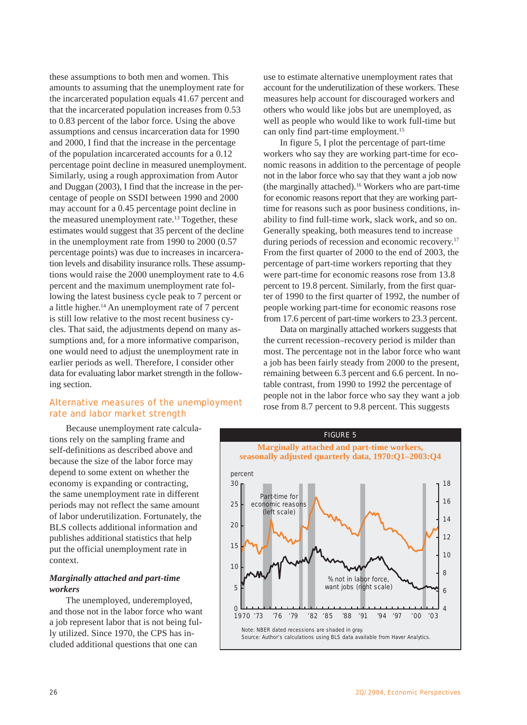these assumptions to both men and women. This amounts to assuming that the unemployment rate for the incarcerated population equals 41.67 percent and that the incarcerated population increases from 0.53 to 0.83 percent of the labor force. Using the above assumptions and census incarceration data for 1990 and 2000, I find that the increase in the percentage of the population incarcerated accounts for a 0.12 percentage point decline in measured unemployment. Similarly, using a rough approximation from Autor and Duggan (2003), I find that the increase in the percentage of people on SSDI between 1990 and 2000 may account for a 0.45 percentage point decline in the measured unemployment rate.<sup>13</sup> Together, these estimates would suggest that 35 percent of the decline in the unemployment rate from 1990 to 2000 (0.57 percentage points) was due to increases in incarceration levels and disability insurance rolls. These assumptions would raise the 2000 unemployment rate to 4.6 percent and the maximum unemployment rate following the latest business cycle peak to 7 percent or a little higher.<sup>14</sup> An unemployment rate of  $7$  percent is still low relative to the most recent business cycles. That said, the adjustments depend on many assumptions and, for a more informative comparison, one would need to adjust the unemployment rate in earlier periods as well. Therefore, I consider other data for evaluating labor market strength in the following section.

# Alternative measures of the unemployment rate and labor market strength

Because unemployment rate calculations rely on the sampling frame and self-definitions as described above and because the size of the labor force may depend to some extent on whether the economy is expanding or contracting, the same unemployment rate in different periods may not reflect the same amount of labor underutilization. Fortunately, the BLS collects additional information and publishes additional statistics that help put the official unemployment rate in context.

# *Marginally attached and part-time workers*

The unemployed, underemployed, and those not in the labor force who want a job represent labor that is not being fully utilized. Since 1970, the CPS has included additional questions that one can

use to estimate alternative unemployment rates that account for the underutilization of these workers. These measures help account for discouraged workers and others who would like jobs but are unemployed, as well as people who would like to work full-time but can only find part-time employment.<sup>15</sup>

In figure 5, I plot the percentage of part-time workers who say they are working part-time for economic reasons in addition to the percentage of people not in the labor force who say that they want a job now (the marginally attached).16 Workers who are part-time for economic reasons report that they are working parttime for reasons such as poor business conditions, inability to find full-time work, slack work, and so on. Generally speaking, both measures tend to increase during periods of recession and economic recovery.<sup>17</sup> From the first quarter of 2000 to the end of 2003, the percentage of part-time workers reporting that they were part-time for economic reasons rose from 13.8 percent to 19.8 percent. Similarly, from the first quarter of 1990 to the first quarter of 1992, the number of people working part-time for economic reasons rose from 17.6 percent of part-time workers to 23.3 percent.

Data on marginally attached workers suggests that the current recession–recovery period is milder than most. The percentage not in the labor force who want a job has been fairly steady from 2000 to the present, remaining between 6.3 percent and 6.6 percent. In notable contrast, from 1990 to 1992 the percentage of people not in the labor force who say they want a job rose from 8.7 percent to 9.8 percent. This suggests

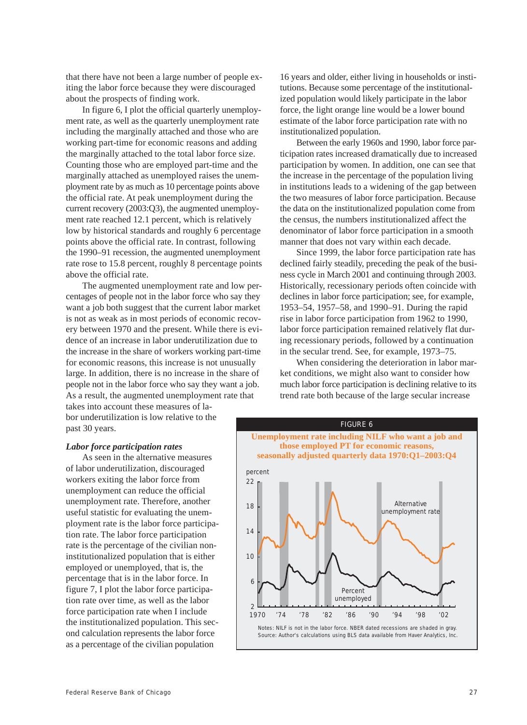that there have not been a large number of people exiting the labor force because they were discouraged about the prospects of finding work.

In figure 6, I plot the official quarterly unemployment rate, as well as the quarterly unemployment rate including the marginally attached and those who are working part-time for economic reasons and adding the marginally attached to the total labor force size. Counting those who are employed part-time and the marginally attached as unemployed raises the unemployment rate by as much as 10 percentage points above the official rate. At peak unemployment during the current recovery (2003:Q3), the augmented unemployment rate reached 12.1 percent, which is relatively low by historical standards and roughly 6 percentage points above the official rate. In contrast, following the 1990–91 recession, the augmented unemployment rate rose to 15.8 percent, roughly 8 percentage points above the official rate.

The augmented unemployment rate and low percentages of people not in the labor force who say they want a job both suggest that the current labor market is not as weak as in most periods of economic recovery between 1970 and the present. While there is evidence of an increase in labor underutilization due to the increase in the share of workers working part-time for economic reasons, this increase is not unusually large. In addition, there is no increase in the share of people not in the labor force who say they want a job. As a result, the augmented unemployment rate that takes into account these measures of la-

bor underutilization is low relative to the past 30 years.

16 years and older, either living in households or institutions. Because some percentage of the institutionalized population would likely participate in the labor force, the light orange line would be a lower bound estimate of the labor force participation rate with no institutionalized population.

Between the early 1960s and 1990, labor force participation rates increased dramatically due to increased participation by women. In addition, one can see that the increase in the percentage of the population living in institutions leads to a widening of the gap between the two measures of labor force participation. Because the data on the institutionalized population come from the census, the numbers institutionalized affect the denominator of labor force participation in a smooth manner that does not vary within each decade.

Since 1999, the labor force participation rate has declined fairly steadily, preceding the peak of the business cycle in March 2001 and continuing through 2003. Historically, recessionary periods often coincide with declines in labor force participation; see, for example, 1953–54, 1957–58, and 1990–91. During the rapid rise in labor force participation from 1962 to 1990, labor force participation remained relatively flat during recessionary periods, followed by a continuation in the secular trend. See, for example, 1973–75.

When considering the deterioration in labor market conditions, we might also want to consider how much labor force participation is declining relative to its trend rate both because of the large secular increase

# *Labor force participation rates*

As seen in the alternative measures of labor underutilization, discouraged workers exiting the labor force from unemployment can reduce the official unemployment rate. Therefore, another useful statistic for evaluating the unemployment rate is the labor force participation rate. The labor force participation rate is the percentage of the civilian noninstitutionalized population that is either employed or unemployed, that is, the percentage that is in the labor force. In figure 7, I plot the labor force participation rate over time, as well as the labor force participation rate when I include the institutionalized population. This second calculation represents the labor force as a percentage of the civilian population

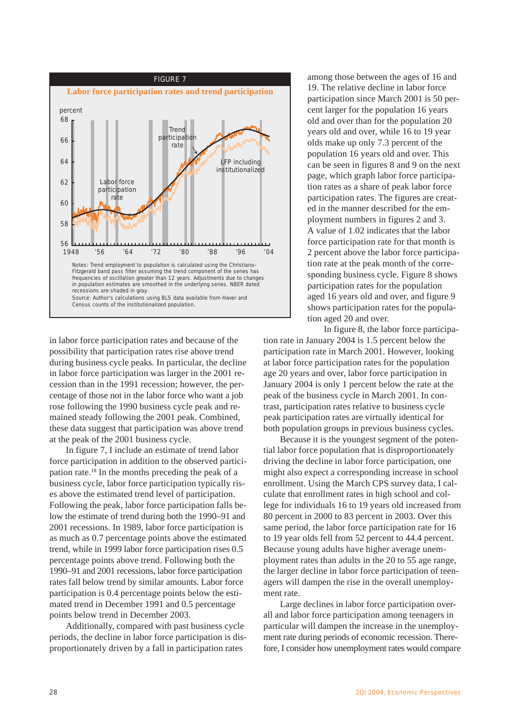

in labor force participation rates and because of the possibility that participation rates rise above trend during business cycle peaks. In particular, the decline in labor force participation was larger in the 2001 recession than in the 1991 recession; however, the percentage of those not in the labor force who want a job rose following the 1990 business cycle peak and remained steady following the 2001 peak. Combined, these data suggest that participation was above trend at the peak of the 2001 business cycle.

In figure 7, I include an estimate of trend labor force participation in addition to the observed participation rate.18 In the months preceding the peak of a business cycle, labor force participation typically rises above the estimated trend level of participation. Following the peak, labor force participation falls below the estimate of trend during both the 1990–91 and 2001 recessions. In 1989, labor force participation is as much as 0.7 percentage points above the estimated trend, while in 1999 labor force participation rises 0.5 percentage points above trend. Following both the 1990–91 and 2001 recessions, labor force participation rates fall below trend by similar amounts. Labor force participation is 0.4 percentage points below the estimated trend in December 1991 and 0.5 percentage points below trend in December 2003.

Additionally, compared with past business cycle periods, the decline in labor force participation is disproportionately driven by a fall in participation rates

among those between the ages of 16 and 19. The relative decline in labor force participation since March 2001 is 50 percent larger for the population 16 years old and over than for the population 20 years old and over, while 16 to 19 year olds make up only 7.3 percent of the population 16 years old and over. This can be seen in figures 8 and 9 on the next page, which graph labor force participation rates as a share of peak labor force participation rates. The figures are created in the manner described for the employment numbers in figures 2 and 3. A value of 1.02 indicates that the labor force participation rate for that month is 2 percent above the labor force participation rate at the peak month of the corresponding business cycle. Figure 8 shows participation rates for the population aged 16 years old and over, and figure 9 shows participation rates for the population aged 20 and over.

In figure 8, the labor force participation rate in January 2004 is 1.5 percent below the participation rate in March 2001. However, looking at labor force participation rates for the population age 20 years and over, labor force participation in January 2004 is only 1 percent below the rate at the peak of the business cycle in March 2001. In contrast, participation rates relative to business cycle peak participation rates are virtually identical for both population groups in previous business cycles.

Because it is the youngest segment of the potential labor force population that is disproportionately driving the decline in labor force participation, one might also expect a corresponding increase in school enrollment. Using the March CPS survey data, I calculate that enrollment rates in high school and college for individuals 16 to 19 years old increased from 80 percent in 2000 to 83 percent in 2003. Over this same period, the labor force participation rate for 16 to 19 year olds fell from 52 percent to 44.4 percent. Because young adults have higher average unemployment rates than adults in the 20 to 55 age range, the larger decline in labor force participation of teenagers will dampen the rise in the overall unemployment rate.

Large declines in labor force participation overall and labor force participation among teenagers in particular will dampen the increase in the unemployment rate during periods of economic recession. Therefore, I consider how unemployment rates would compare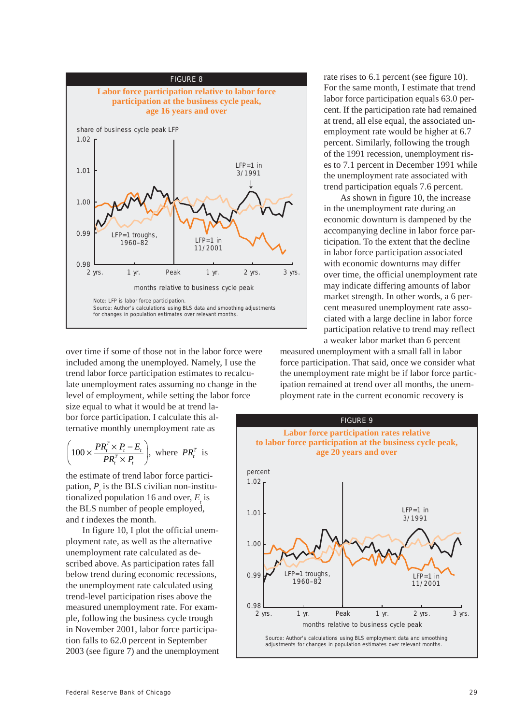

over time if some of those not in the labor force were included among the unemployed. Namely, I use the trend labor force participation estimates to recalculate unemployment rates assuming no change in the level of employment, while setting the labor force

size equal to what it would be at trend labor force participation. I calculate this alternative monthly unemployment rate as

$$
\left(100 \times \frac{PR_i^T \times P_i - E_i}{PR_i^T \times P_i}\right), \text{ where } PR_i^T \text{ is}
$$

the estimate of trend labor force participation,  $P<sub>t</sub>$  is the BLS civilian non-institutionalized population 16 and over,  $E$  is the BLS number of people employed, and *t* indexes the month.

In figure 10, I plot the official unemployment rate, as well as the alternative unemployment rate calculated as described above. As participation rates fall below trend during economic recessions, the unemployment rate calculated using trend-level participation rises above the measured unemployment rate. For example, following the business cycle trough in November 2001, labor force participation falls to 62.0 percent in September 2003 (see figure 7) and the unemployment rate rises to 6.1 percent (see figure 10). For the same month, I estimate that trend labor force participation equals 63.0 percent. If the participation rate had remained at trend, all else equal, the associated unemployment rate would be higher at 6.7 percent. Similarly, following the trough of the 1991 recession, unemployment rises to 7.1 percent in December 1991 while the unemployment rate associated with trend participation equals 7.6 percent.

As shown in figure 10, the increase in the unemployment rate during an economic downturn is dampened by the accompanying decline in labor force participation. To the extent that the decline in labor force participation associated with economic downturns may differ over time, the official unemployment rate may indicate differing amounts of labor market strength. In other words, a 6 percent measured unemployment rate associated with a large decline in labor force participation relative to trend may reflect a weaker labor market than 6 percent

measured unemployment with a small fall in labor force participation. That said, once we consider what the unemployment rate might be if labor force participation remained at trend over all months, the unemployment rate in the current economic recovery is

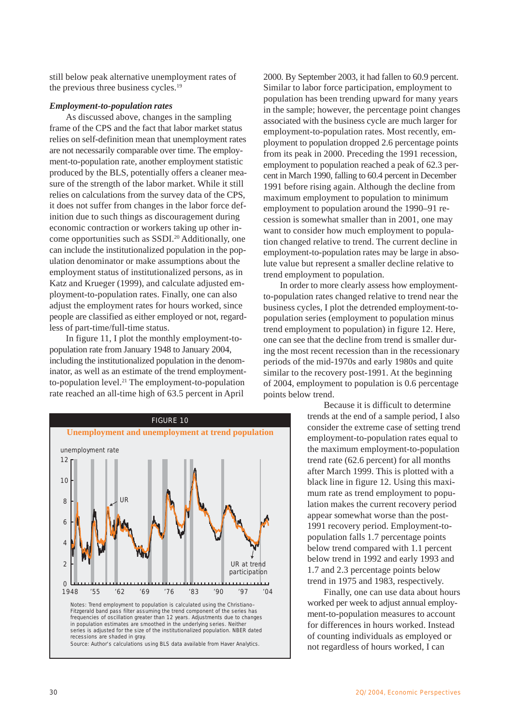still below peak alternative unemployment rates of the previous three business cycles.<sup>19</sup>

## *Employment-to-population rates*

As discussed above, changes in the sampling frame of the CPS and the fact that labor market status relies on self-definition mean that unemployment rates are not necessarily comparable over time. The employment-to-population rate, another employment statistic produced by the BLS, potentially offers a cleaner measure of the strength of the labor market. While it still relies on calculations from the survey data of the CPS, it does not suffer from changes in the labor force definition due to such things as discouragement during economic contraction or workers taking up other income opportunities such as SSDI.20 Additionally, one can include the institutionalized population in the population denominator or make assumptions about the employment status of institutionalized persons, as in Katz and Krueger (1999), and calculate adjusted employment-to-population rates. Finally, one can also adjust the employment rates for hours worked, since people are classified as either employed or not, regardless of part-time/full-time status.

In figure 11, I plot the monthly employment-topopulation rate from January 1948 to January 2004, including the institutionalized population in the denominator, as well as an estimate of the trend employmentto-population level. $21$  The employment-to-population rate reached an all-time high of 63.5 percent in April



2000. By September 2003, it had fallen to 60.9 percent. Similar to labor force participation, employment to population has been trending upward for many years in the sample; however, the percentage point changes associated with the business cycle are much larger for employment-to-population rates. Most recently, employment to population dropped 2.6 percentage points from its peak in 2000. Preceding the 1991 recession, employment to population reached a peak of 62.3 percent in March 1990, falling to 60.4 percent in December 1991 before rising again. Although the decline from maximum employment to population to minimum employment to population around the 1990–91 recession is somewhat smaller than in 2001, one may want to consider how much employment to population changed relative to trend. The current decline in employment-to-population rates may be large in absolute value but represent a smaller decline relative to trend employment to population.

In order to more clearly assess how employmentto-population rates changed relative to trend near the business cycles, I plot the detrended employment-topopulation series (employment to population minus trend employment to population) in figure 12. Here, one can see that the decline from trend is smaller during the most recent recession than in the recessionary periods of the mid-1970s and early 1980s and quite similar to the recovery post-1991. At the beginning of 2004, employment to population is 0.6 percentage points below trend.

> Because it is difficult to determine trends at the end of a sample period, I also consider the extreme case of setting trend employment-to-population rates equal to the maximum employment-to-population trend rate (62.6 percent) for all months after March 1999. This is plotted with a black line in figure 12. Using this maximum rate as trend employment to population makes the current recovery period appear somewhat worse than the post-1991 recovery period. Employment-topopulation falls 1.7 percentage points below trend compared with 1.1 percent below trend in 1992 and early 1993 and 1.7 and 2.3 percentage points below trend in 1975 and 1983, respectively.

> Finally, one can use data about hours worked per week to adjust annual employment-to-population measures to account for differences in hours worked. Instead of counting individuals as employed or not regardless of hours worked, I can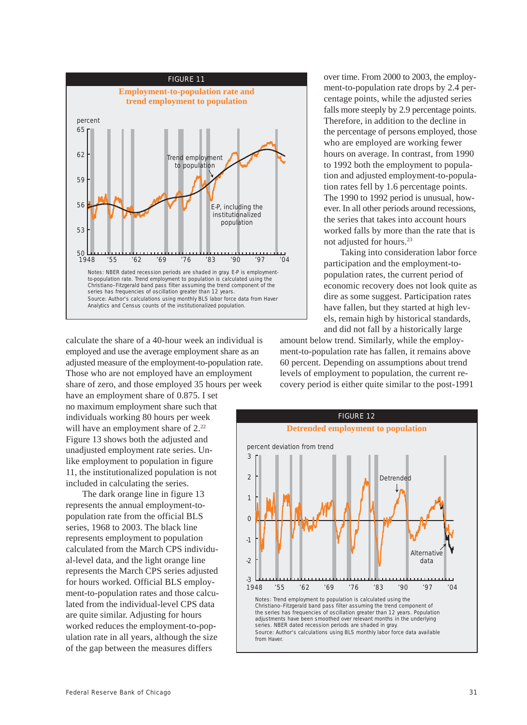

calculate the share of a 40-hour week an individual is employed and use the average employment share as an adjusted measure of the employment-to-population rate. Those who are not employed have an employment share of zero, and those employed 35 hours per week

have an employment share of 0.875. I set no maximum employment share such that individuals working 80 hours per week will have an employment share of  $2.^{22}$ Figure 13 shows both the adjusted and unadjusted employment rate series. Unlike employment to population in figure 11, the institutionalized population is not included in calculating the series.

The dark orange line in figure 13 represents the annual employment-topopulation rate from the official BLS series, 1968 to 2003. The black line represents employment to population calculated from the March CPS individual-level data, and the light orange line represents the March CPS series adjusted for hours worked. Official BLS employment-to-population rates and those calculated from the individual-level CPS data are quite similar. Adjusting for hours worked reduces the employment-to-population rate in all years, although the size of the gap between the measures differs

over time. From 2000 to 2003, the employment-to-population rate drops by 2.4 percentage points, while the adjusted series falls more steeply by 2.9 percentage points. Therefore, in addition to the decline in the percentage of persons employed, those who are employed are working fewer hours on average. In contrast, from 1990 to 1992 both the employment to population and adjusted employment-to-population rates fell by 1.6 percentage points. The 1990 to 1992 period is unusual, however. In all other periods around recessions, the series that takes into account hours worked falls by more than the rate that is not adjusted for hours.23

Taking into consideration labor force participation and the employment-topopulation rates, the current period of economic recovery does not look quite as dire as some suggest. Participation rates have fallen, but they started at high levels, remain high by historical standards, and did not fall by a historically large

amount below trend. Similarly, while the employment-to-population rate has fallen, it remains above 60 percent. Depending on assumptions about trend levels of employment to population, the current recovery period is either quite similar to the post-1991

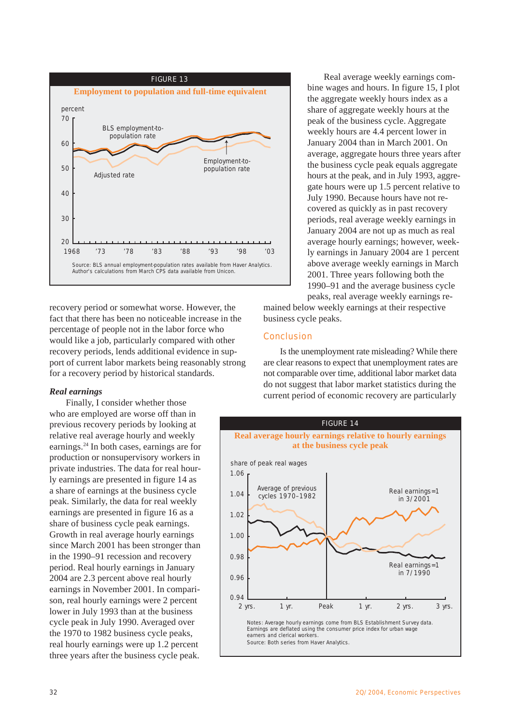

recovery period or somewhat worse. However, the fact that there has been no noticeable increase in the percentage of people not in the labor force who would like a job, particularly compared with other recovery periods, lends additional evidence in support of current labor markets being reasonably strong for a recovery period by historical standards.

## *Real earnings*

Finally, I consider whether those who are employed are worse off than in previous recovery periods by looking at relative real average hourly and weekly earnings.24 In both cases, earnings are for production or nonsupervisory workers in private industries. The data for real hourly earnings are presented in figure 14 as a share of earnings at the business cycle peak. Similarly, the data for real weekly earnings are presented in figure 16 as a share of business cycle peak earnings. Growth in real average hourly earnings since March 2001 has been stronger than in the 1990–91 recession and recovery period. Real hourly earnings in January 2004 are 2.3 percent above real hourly earnings in November 2001. In comparison, real hourly earnings were 2 percent lower in July 1993 than at the business cycle peak in July 1990. Averaged over the 1970 to 1982 business cycle peaks, real hourly earnings were up 1.2 percent three years after the business cycle peak.

Real average weekly earnings combine wages and hours. In figure 15, I plot the aggregate weekly hours index as a share of aggregate weekly hours at the peak of the business cycle. Aggregate weekly hours are 4.4 percent lower in January 2004 than in March 2001. On average, aggregate hours three years after the business cycle peak equals aggregate hours at the peak, and in July 1993, aggregate hours were up 1.5 percent relative to July 1990. Because hours have not recovered as quickly as in past recovery periods, real average weekly earnings in January 2004 are not up as much as real average hourly earnings; however, weekly earnings in January 2004 are 1 percent above average weekly earnings in March 2001. Three years following both the 1990–91 and the average business cycle peaks, real average weekly earnings re-

mained below weekly earnings at their respective business cycle peaks.

# Conclusion

Is the unemployment rate misleading? While there are clear reasons to expect that unemployment rates are not comparable over time, additional labor market data do not suggest that labor market statistics during the current period of economic recovery are particularly

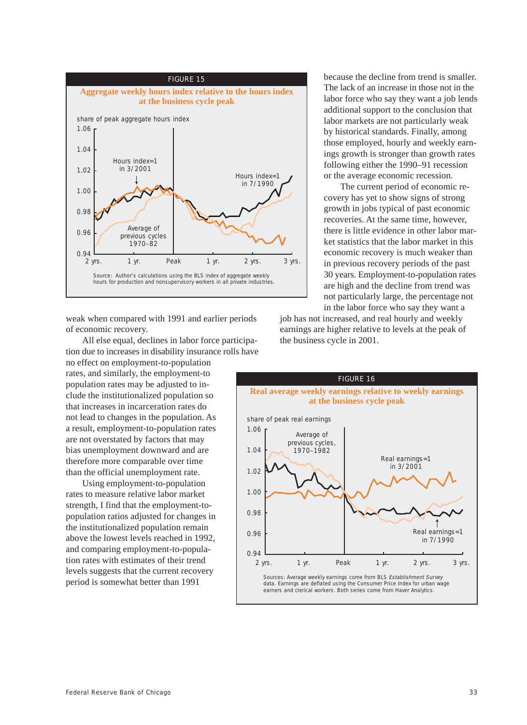

weak when compared with 1991 and earlier periods of economic recovery.

All else equal, declines in labor force participation due to increases in disability insurance rolls have no effect on employment-to-population rates, and similarly, the employment-to population rates may be adjusted to include the institutionalized population so that increases in incarceration rates do not lead to changes in the population. As a result, employment-to-population rates are not overstated by factors that may bias unemployment downward and are therefore more comparable over time than the official unemployment rate.

Using employment-to-population rates to measure relative labor market strength, I find that the employment-topopulation ratios adjusted for changes in the institutionalized population remain above the lowest levels reached in 1992, and comparing employment-to-population rates with estimates of their trend levels suggests that the current recovery period is somewhat better than 1991

because the decline from trend is smaller. The lack of an increase in those not in the labor force who say they want a job lends additional support to the conclusion that labor markets are not particularly weak by historical standards. Finally, among those employed, hourly and weekly earnings growth is stronger than growth rates following either the 1990–91 recession or the average economic recession.

The current period of economic recovery has yet to show signs of strong growth in jobs typical of past economic recoveries. At the same time, however, there is little evidence in other labor market statistics that the labor market in this economic recovery is much weaker than in previous recovery periods of the past 30 years. Employment-to-population rates are high and the decline from trend was not particularly large, the percentage not in the labor force who say they want a

job has not increased, and real hourly and weekly earnings are higher relative to levels at the peak of the business cycle in 2001.

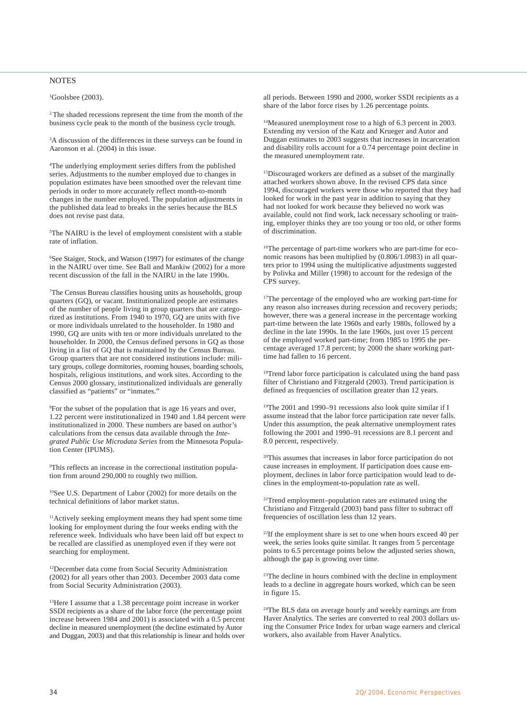#### NOTES

 ${}^{1}$ Goolsbee (2003).

2 The shaded recessions represent the time from the month of the business cycle peak to the month of the business cycle trough.

<sup>3</sup>A discussion of the differences in these surveys can be found in Aaronson et al. (2004) in this issue.

4 The underlying employment series differs from the published series. Adjustments to the number employed due to changes in population estimates have been smoothed over the relevant time periods in order to more accurately reflect month-to-month changes in the number employed. The population adjustments in the published data lead to breaks in the series because the BLS does not revise past data.

5 The NAIRU is the level of employment consistent with a stable rate of inflation.

6 See Staiger, Stock, and Watson (1997) for estimates of the change in the NAIRU over time. See Ball and Mankiw (2002) for a more recent discussion of the fall in the NAIRU in the late 1990s.

7 The Census Bureau classifies housing units as households, group quarters (GQ), or vacant. Institutionalized people are estimates of the number of people living in group quarters that are categorized as institutions. From 1940 to 1970, GQ are units with five or more individuals unrelated to the householder. In 1980 and 1990, GQ are units with ten or more individuals unrelated to the householder. In 2000, the Census defined persons in GQ as those living in a list of GQ that is maintained by the Census Bureau. Group quarters that are not considered institutions include: military groups, college dormitories, rooming houses, boarding schools, hospitals, religious institutions, and work sites. According to the Census 2000 glossary, institutionalized individuals are generally classified as "patients" or "inmates."

8 For the subset of the population that is age 16 years and over, 1.22 percent were institutionalized in 1940 and 1.84 percent were institutionalized in 2000. These numbers are based on author's calculations from the census data available through the *Integrated Public Use Microdata Series* from the Minnesota Population Center (IPUMS).

9 This reflects an increase in the correctional institution population from around 290,000 to roughly two million.

10See U.S. Department of Labor (2002) for more details on the technical definitions of labor market status.

11Actively seeking employment means they had spent some time looking for employment during the four weeks ending with the reference week. Individuals who have been laid off but expect to be recalled are classified as unemployed even if they were not searching for employment.

12December data come from Social Security Administration (2002) for all years other than 2003. December 2003 data come from Social Security Administration (2003).

13Here I assume that a 1.38 percentage point increase in worker SSDI recipients as a share of the labor force (the percentage point increase between 1984 and 2001) is associated with a 0.5 percent decline in measured unemployment (the decline estimated by Autor and Duggan, 2003) and that this relationship is linear and holds over all periods. Between 1990 and 2000, worker SSDI recipients as a share of the labor force rises by 1.26 percentage points.

14Measured unemployment rose to a high of 6.3 percent in 2003. Extending my version of the Katz and Krueger and Autor and Duggan estimates to 2003 suggests that increases in incarceration and disability rolls account for a 0.74 percentage point decline in the measured unemployment rate.

<sup>15</sup>Discouraged workers are defined as a subset of the marginally attached workers shown above. In the revised CPS data since 1994, discouraged workers were those who reported that they had looked for work in the past year in addition to saying that they had not looked for work because they believed no work was available, could not find work, lack necessary schooling or training, employer thinks they are too young or too old, or other forms of discrimination.

<sup>16</sup>The percentage of part-time workers who are part-time for economic reasons has been multiplied by (0.806/1.0983) in all quarters prior to 1994 using the multiplicative adjustments suggested by Polivka and Miller (1998) to account for the redesign of the CPS survey.

<sup>17</sup>The percentage of the employed who are working part-time for any reason also increases during recession and recovery periods; however, there was a general increase in the percentage working part-time between the late 1960s and early 1980s, followed by a decline in the late 1990s. In the late 1960s, just over 15 percent of the employed worked part-time; from 1985 to 1995 the percentage averaged 17.8 percent; by 2000 the share working parttime had fallen to 16 percent.

<sup>18</sup>Trend labor force participation is calculated using the band pass filter of Christiano and Fitzgerald (2003). Trend participation is defined as frequencies of oscillation greater than 12 years.

19The 2001 and 1990–91 recessions also look quite similar if I assume instead that the labor force participation rate never falls. Under this assumption, the peak alternative unemployment rates following the 2001 and 1990–91 recessions are 8.1 percent and 8.0 percent, respectively.

20This assumes that increases in labor force participation do not cause increases in employment. If participation does cause employment, declines in labor force participation would lead to declines in the employment-to-population rate as well.

21Trend employment–population rates are estimated using the Christiano and Fitzgerald (2003) band pass filter to subtract off frequencies of oscillation less than 12 years.

22If the employment share is set to one when hours exceed 40 per week, the series looks quite similar. It ranges from 5 percentage points to 6.5 percentage points below the adjusted series shown, although the gap is growing over time.

<sup>23</sup>The decline in hours combined with the decline in employment leads to a decline in aggregate hours worked, which can be seen in figure 15.

<sup>24</sup>The BLS data on average hourly and weekly earnings are from Haver Analytics. The series are converted to real 2003 dollars using the Consumer Price Index for urban wage earners and clerical workers, also available from Haver Analytics.